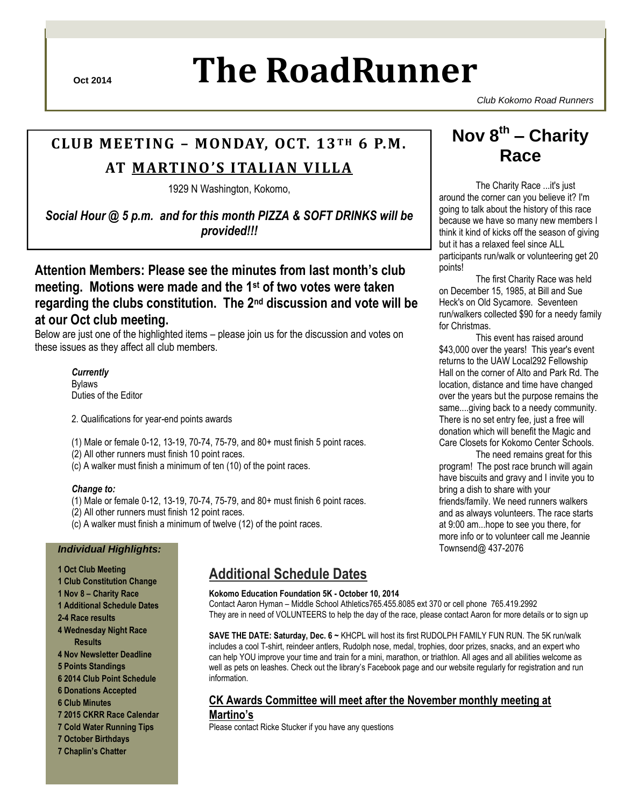# **Oct 2014 The RoadRunner**

*Club Kokomo Road Runners*

## **CLUB MEETING – MONDAY, OCT. 13 T H 6 P.M.**

## **AT MARTINO 'S ITALIAN VILLA**

1929 N Washington, Kokomo,

*Social Hour @ 5 p.m. and for this month PIZZA & SOFT DRINKS will be provided!!!*

**Attention Members: Please see the minutes from last month's club meeting. Motions were made and the 1st of two votes were taken regarding the clubs constitution. The 2nd discussion and vote will be at our Oct club meeting.** 

Below are just one of the highlighted items – please join us for the discussion and votes on these issues as they affect all club members.

*Currently*  Bylaws Duties of the Editor

- 2. Qualifications for year-end points awards
- (1) Male or female 0-12, 13-19, 70-74, 75-79, and 80+ must finish 5 point races.
- (2) All other runners must finish 10 point races.
- (c) A walker must finish a minimum of ten (10) of the point races.

#### *Change to:*

- (1) Male or female 0-12, 13-19, 70-74, 75-79, and 80+ must finish 6 point races.
- (2) All other runners must finish 12 point races.
- (c) A walker must finish a minimum of twelve (12) of the point races.

#### *Individual Highlights:*

- **1 Oct Club Meeting**
- **1 Club Constitution Change**
- **1 Nov 8 – Charity Race**
- **1 Additional Schedule Dates**
- **2-4 Race results**
- **4 Wednesday Night Race Results**
- **4 Nov Newsletter Deadline**
- **5 Points Standings**
- **6 2014 Club Point Schedule**
- **6 Donations Accepted**
- **6 Club Minutes**
- **7 2015 CKRR Race Calendar**
- **7 Cold Water Running Tips**
- **7 October Birthdays**
- **7 Chaplin's Chatter**

## **Additional Schedule Dates**

#### **Kokomo Education Foundation 5K - October 10, 2014**

Contact Aaron Hyman – Middle School Athletics765.455.8085 ext 370 or cell phone 765.419.2992 They are in need of VOLUNTEERS to help the day of the race, please contact Aaron for more details or to sign up

**SAVE THE DATE: Saturday, Dec. 6 ~** KHCPL will host its first RUDOLPH FAMILY FUN RUN. The 5K run/walk includes a cool T-shirt, reindeer antlers, Rudolph nose, medal, trophies, door prizes, snacks, and an expert who can help YOU improve your time and train for a mini, marathon, or triathlon. All ages and all abilities welcome as well as pets on leashes. Check out the library"s Facebook page and our website regularly for registration and run information.

## **CK Awards Committee will meet after the November monthly meeting at**

#### **Martino's**

Please contact Ricke Stucker if you have any questions

## **Nov 8 th – Charity Race**

The Charity Race ...it's just around the corner can you believe it? I'm going to talk about the history of this race because we have so many new members I think it kind of kicks off the season of giving but it has a relaxed feel since ALL participants run/walk or volunteering get 20 points!

The first Charity Race was held on December 15, 1985, at Bill and Sue Heck's on Old Sycamore. Seventeen run/walkers collected \$90 for a needy family for Christmas.

This event has raised around \$43,000 over the years! This year's event returns to the UAW Local292 Fellowship Hall on the corner of Alto and Park Rd. The location, distance and time have changed over the years but the purpose remains the same....giving back to a needy community. There is no set entry fee, just a free will donation which will benefit the Magic and Care Closets for Kokomo Center Schools.

The need remains great for this program! The post race brunch will again have biscuits and gravy and I invite you to bring a dish to share with your friends/family. We need runners walkers and as always volunteers. The race starts at 9:00 am...hope to see you there, for more info or to volunteer call me Jeannie Townsend@ 437-2076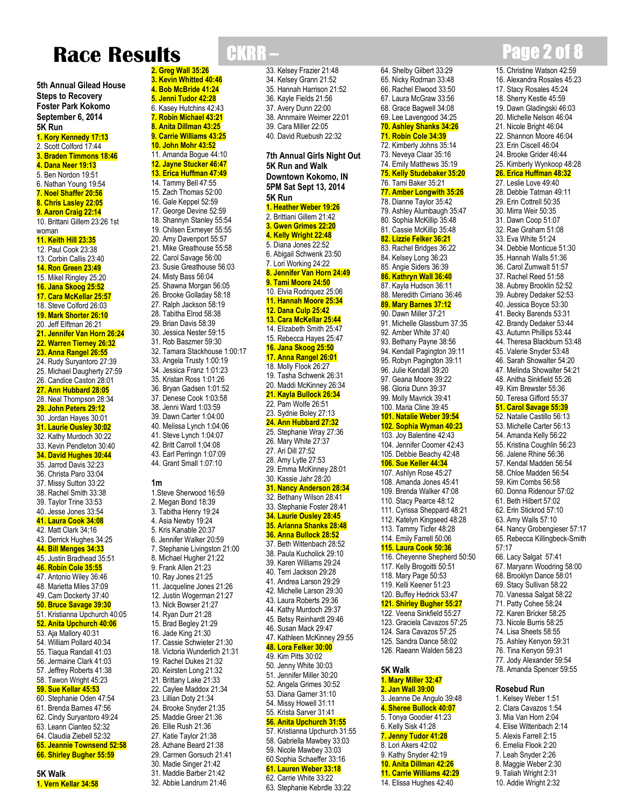# **Race Results**

**5th Annual Gilead House Steps to Recovery Foster Park Kokomo September 6, 2014 5K Run 1. Kory Kennedy 17:13** 2. Scott Colford 17:44 **3. Braden Timmons 18:46 4. Dana Neer 19:13** 5. Ben Nordon 19:51 6. Nathan Young 19:54 **7. Noel Shaffer 20:56 8. Chris Lasley 22:05 9. Aaron Craig 22:14** 10. Brittani Gillem 23:26 1st woman **11. Keith Hill 23:35** 12. Paul Cook 23:38 13. Corbin Callis 23:40 **14. Ron Green 23:49** 15. Mikel Ringley 25:20 **16. Jana Skoog 25:52 17. Cara McKellar 25:57** 18. Steve Colford 26:03 **19. Mark Shorter 26:10** 20. Jeff Elftman 26:21 **21. Jennifer Van Horn 26:24 22. Warren Tierney 26:32 23. Anna Rangel 26:55** 24. Rudy Suryantoro 27:39 25. Michael Daugherty 27:59 26. Candice Caston 28:01 **27. Ann Hubbard 28:05** 28. Neal Thompson 28:34 **29. John Peters 29:12** 30. Jordan Hayes 30:01 **31. Laurie Ousley 30:02** 32. Kathy Murdoch 30:22 33. Kevin Pendleton 30:40 **34. David Hughes 30:44** 35. Jarrod Davis 32:23 36. Christa Paro 33:04 37. Missy Sutton 33:22 38. Rachel Smith 33:38 39. Taylor Trine 33:53 40. Jesse Jones 33:54 **41. Laura Cook 34:08** 42. Matt Clark 34;16 43. Derrick Hughes 34:25 **44. Bill Menges 34:33** 45. Justin Bradhead 35:51 **46. Robin Cole 35:55** 47. Antonio Wiley 36:46 48. Marietta Miles 37:09 49. Cam Dockerty 37:40 **50. Bruce Savage 39:30** 51. Kristianna Upchurch 40:05 **52. Anita Upchurch 40:06** 53. Aja Mallory 40:31 54. William Pollard 40:34 55. Tiaqua Randall 41:03 56. Jermaine Clark 41:03 57. Jeffrey Roberts 41:38 58. Tawon Wright 45:23 **59. Sue Kellar 45:53** 60. Stephanie Oden 47:54 61. Brenda Barnes 47:56 62. Cindy Suryantoro 49:24 63. Leann Cianteo 52:32 64. Claudia Ziebell 52:32 **65. Jeannie Townsend 52:58 66. Shirley Bugher 55:59**

**5K Walk 1. Vern Kellar 34:58**

**2. Greg Wall 35:26 3. Kevin Whitted 40:46 4. Bob McBride 41:24 5. Jenni Tudor 42:28** 6. Kasey Hutchins 42:43 **7. Robin Michael 43:21 8. Anita Dillman 43:25 9. Carrie Williams 43:25 10. John Mohr 43:52** 11. Amanda Bogue 44:10 **12. Jayne Stucker 46:47 13. Erica Huffman 47:49** 14. Tammy Bell 47:55 15. Zach Thomas 52:00 16. Gale Keppel 52:59 17. George Devine 52:59 18. Shannyn Stanley 55:54 19. Chilsen Exmeyer 55:55 20. Amy Davenport 55:57 21. Mike Greathouse 55:58 22. Carol Savage 56:00 23. Susie Greathouse 56:03 24. Misty Bass 56:04 25. Shawna Morgan 56:05 26. Brooke Golladay 58:18 27. Ralph Jackson 58:19 28. Tabitha Elrod 58:38 29. Brian Davis 58:39 30. Jessica Nester 59:15 31. Rob Baszmer 59:30 32. Tamara Stackhouse 1:00:17 33. Angela Trusty 1:00:19 34. Jessica Franz 1:01:23 35. Kristan Ross 1:01:26 36. Bryan Gadsen 1:01:52 37. Denese Cook 1:03:58 38. Jenni Ward 1:03:59 39. Dawn Carter 1:04:00 40. Melissa Lynch 1:04:06 41. Steve Lynch 1:04:07 42. Britt Carroll 1;04:08 43. Earl Perringn 1:07:09 44. Grant Small 1:07:10 **1m** 1.Steve Sherwood 16:59 2. Megan Bond 18:39 3. Tabitha Henry 19:24 4. Asia Newby 19:24 5. Kris Kanable 20:37 6. Jennifer Walker 20:59 8. Michael Hugher 21:22 9. Frank Allen 21:23 10. Ray Jones 21:25

7. Stephanie Livingston 21:00 11. Jacqueline Jones 21:26 12. Justin Wogerman 21:27 13. Nick Bowser 21:27 14. Ryan Durr 21:28 15. Brad Begley 21:29 16. Jade King 21:30 17. Cassie Schwieter 21:30 18. Victoria Wunderlich 21:31 19. Rachel Dukes 21:32 20. Keirsten Long 21:32 21. Brittany Lake 21:33 22. Caylee Maddox 21:34 23. Lillian Doty 21:34 24. Brooke Snyder 21:35 25. Maddie Greer 21:36 26. Ellie Rush 21:36 27. Katie Taylor 21:38 28. Azhane Beard 21:38 29. Carmen Gorsuch 21:41 30. Madie Singer 21:42 31. Maddie Barber 21:42 32. Abbie Landrum 21:46

33. Kelsey Frazier 21:48 34. Kelsey Grann 21:52 35. Hannah Harrison 21:52 36. Kayle Fields 21:56 37. Avery Dunn 22:00 38. Annmaire Weimer 22:01 39. Cara Miller 22:05 40. David Ruebush 22:32 **7th Annual Girls Night Out 5K Run and Walk Downtown Kokomo, IN 5PM Sat Sept 13, 2014 5K Run 1. Heather Weber 19:26** 2. Brittiani Gillem 21:42 **3. Gwen Grimes 22:20 4. Kelly Wright 22:48** 5. Diana Jones 22:52 6. Abigail Schwenk 23:50 7. Lori Working 24:22 **8. Jennifer Van Horn 24:49 9. Tami Moore 24:50** 10. Elvia Rodriquez 25:06 **11. Hannah Moore 25:34 12. Dana Culp 25:42 13. Cara McKellar 25:44** 14. Elizabeth Smith 25:47 15. Rebecca Hayes 25:47 **16. Jana Skoog 25:50 17. Anna Rangel 26:01** 18. Molly Flook 26:27 19. Tasha Schwenk 26:31 20. Maddi McKinney 26:34 **21. Kayla Bullock 26:34** 22. Pam Wolfe 26:51 23. Sydnie Boley 27:13 **24. Ann Hubbard 27:32** 25. Stephanie Wray 27:36 26. Mary White 27:37 27. Ari Dill 27:52 28. Amy Lytle 27:53 29. Emma McKinney 28:01 30. Kassie Jahr 28:20 **31. Nancy Anderson 28:34** 32. Bethany Wilson 28:41 33. Stephanie Foster 28:41 **34. Laurie Ousley 28:45 35. Arianna Shanks 28:48 36. Anna Bullock 28:52** 37. Beth Wittenbach 28:52 38. Paula Kucholick 29:10 39. Karen Williams 29:24 40. Terri Jackson 29:28 41. Andrea Larson 29:29 42. Michelle Larson 29:30 43. Laura Roberts 29:36 44. Kathy Murdoch 29:37 45. Betsy Reinhardt 29:46 46. Susan Mack 29:47 47. Kathleen McKinney 29:55 **48. Lora Felker 30:00** 49. Kim Pitts 30:02 50. Jenny White 30:03 51. Jennifer Miller 30:20 52. Angela Grimes 30:52 53. Diana Garner 31:10 54. Missy Howell 31:11 55. Krista Sarver 31:41 **56. Anita Upchurch 31:55** 57. Kristianna Upchurch 31:55 58. Gabriella Mawbey 33:03 59. Nicole Mawbey 33:03 60.Sophia Schaeffer 33:16 **61. Lauren Weber 33:18** 62. Carrie White 33:22

63. Stephanie Kebrdle 33:22

64. Shelby Gilbert 33:29 65. Nicky Rodman 33:48 66. Rachel Elwood 33:50 67. Laura McGraw 33:56 68. Grace Bagwell 34:08 69. Lee Lavengood 34:25 **70. Ashley Shanks 34:26 71. Robin Cole 34:39** 72. Kimberly Johns 35:14 73. Neveya Claar 35:16 74. Emily Matthews 35:19 **75. Kelly Studebaker 35:20** 76. Tami Baker 35:21 **77. Amber Longwith 35:26** 78. Dianne Taylor 35:42 79. Ashley Alumbaugh 35:47 80. Sophia McKillip 35:48 81. Cassie McKillip 35:48 **82. Lizzie Felker 36:21** 83. Rachel Bridges 36:22 84. Kelsey Long 36:23 85. Angie Siders 36:39 **86. Kathryn Wall 36:40** 87. Kayla Hudson 36:11 88. Meredith Cirriano 36:46 **89. Mary Barnes 37:12** 90. Dawn Miller 37:21 91. Michelle Glassburn 37:35 92. Amber White 37:40 93. Bethany Payne 38:56 94. Kendall Pagington 39:11 95. Robyn Pagington 39:11 96. Julie Kendall 39:20 97. Geana Moore 39:22 98. Gloria Dunn 39:37 99. Molly Mavrick 39:41 100. Maria Cline 39:45 **101. Natalie Weber 39:54 102. Sophia Wyman 40:23** 103. Joy Balentine 42:43 104. Jennifer Coomer 42:43 105. Debbie Beachy 42:48 **106. Sue Keller 44:34** 107. Ashlyn Rose 45:27 108. Amanda Jones 45:41 109. Brenda Walker 47:08 110. Stacy Pearce 48:12 111. Cyrissa Sheppard 48:21 112. Katelyn Kingseed 48:28 113. Tammy Ticfer 48:28 114. Emily Farrell 50:06 **115. Laura Cook 50:36** 116. Cheyenne Shepherd 50:50 117. Kelly Brogoitti 50:51 118. Mary Page 50:53 119. Kelli Keener 51:23 120. Buffey Hedrick 53:47 **121. Shirley Bugher 55:27** 122. Veena Sinkfield 55:27 123. Graciela Cavazos 57:25 124. Sara Cavazos 57:25 125. Sandra Dance 58:02 126. Raeann Walden 58:23 **5K Walk 1. Mary Miller 32:47 2. Jan Wall 39:00** 3. Jeanne De Angulo 39:48 **4. Sheree Bullock 40:07** 5. Tonya Goodier 41:23

6. Kelly Sisk 41:28 **7. Jenny Tudor 41:28** 8. Lori Akers 42:02 9. Kathy Snyder 42:19 **10. Anita Dillman 42:26 11. Carrie Williams 42:29** 14. Elissa Hughes 42:40

# CKRR – Page 2 of 8

15. Christine Watson 42:59

16. Alexandra Rosales 45:23 17. Stacy Rosales 45:24 18. Sherry Kestle 45:59 19. Dawn Gladingski 46:03 20. Michelle Nelson 46:04 21. Nicole Bright 46:04 22. Shannon Moore 46:04 23. Erin Ciscell 46:04 24. Brooke Grider 46:44 25. Kimberly Wynkoop 48:28 **26. Erica Huffman 48:32** 27. Leslie Love 49:40 28. Debbie Tatman 49:11 29. Erin Cottrell 50:35 30. Mirra Weir 50:35 31. Dawn Coop 51:07 32. Rae Graham 51:08 33. Eva White 51:24 34. Debbie Monticue 51:30 35. Hannah Walls 51:36 36. Carol Zumwalt 51:57 37. Rachel Reed 51:58 38. Aubrey Brooklin 52:52 39. Aubrey Dedaker 52:53 40. Jessica Boyce 53:30 41. Becky Barends 53:31 42. Brandy Dedaker 53:44 43. Autumn Phillips 53:44 44. Theresa Blackburn 53:48 45. Valerie Snyder 53:48 46. Sarah Showalter 54:20 47. Melinda Showalter 54:21 48. Anitha Sinkfield 55:26 49. Kim Brewster 55:36 50. Teresa Gifford 55:37 **51. Carol Savage 55:39** 52. Natalie Castillo 56:13 53. Michelle Carter 56:13 54. Amanda Kelly 56:22 55. Kristina Coughlin 56:23 56. Jalene Rhine 56:36 57. Kendal Madden 56:54 58. Chloe Madden 56:54 59. Kim Combs 56:58 60. Donna Ridenour 57:02 61. Beth Hilbert 57:02 62. Erin Stickrod 57:10 63. Amy Walls 57:10 64. Nancy Grobengieser 57:17 65. Rebecca Killingbeck-Smith 57:17 66. Lacy Salgat 57:41 67. Maryann Woodring 58:00 68. Brooklyn Dance 58:01 69. Stacy Sullivan 58:22 70. Vanessa Salgat 58:22 71. Patty Cohee 58:24 72. Karen Bricker 58:25 73. Nicole Burris 58:25 74. Lisa Sheets 58:55 75. Ashley Kenyon 59:31 76. Tina Kenyon 59:31 77. Jody Alexander 59:54 78. Amanda Spencer 59:55 **Rosebud Run**

1. Kelsey Weber 1:51 2. Clara Cavazos 1:54 3. Mia Van Horn 2:04 4. Elise Wittenbach 2:14 5. Alexis Farrell 2:15 6. Emelia Flook 2:20 7. Leah Snyder 2:26 8. Maggie Weber 2:30 9. Taliah Wright 2:31 10. Addie Wright 2:32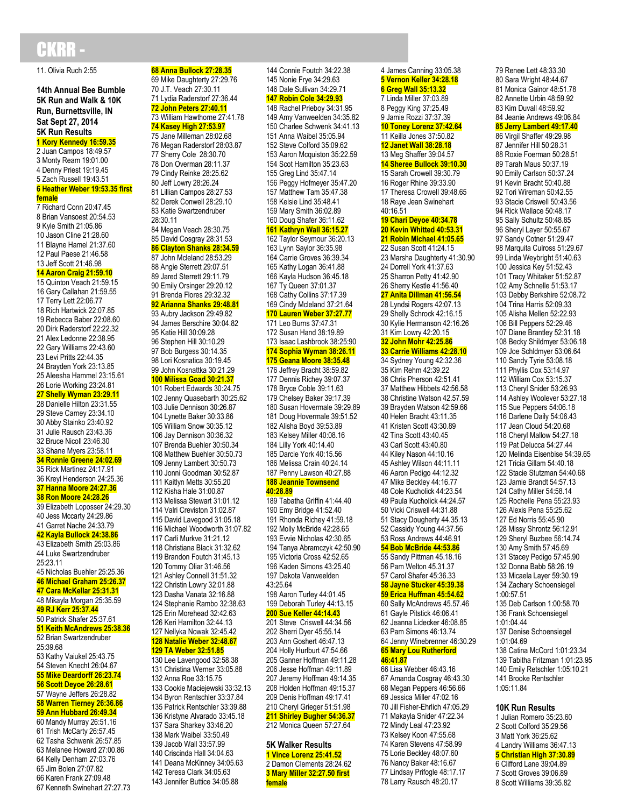## HKRR

11. Olivia Ruch 2:55

**14th Annual Bee Bumble 5K Run and Walk & 10K Run, Burnettsville, IN Sat Sept 27, 2014 5K Run Results 1 Kory Kennedy 16:59.35**

2 Juan Campos 18:49.57 3 Monty Ream 19:01.00 4 Denny Priest 19:19.45 5 Zach Russell 19:43.51 **6 Heather Weber 19:53.35 first** 

**female** 7 Richard Conn 20:47.45 8 Brian Vansoest 20:54.53 9 Kyle Smith 21:05.86 10 Jason Cline 21:28.60 11 Blayne Hamel 21:37.60 12 Paul Paese 21:46.58 13 Jeff Scott 21:46.98 **14 Aaron Craig 21:59.10** 15 Quinton Veach 21:59.15 16 Gary Callahan 21:59.55 17 Terry Lett 22:06.77 18 Rich Hartwick 22:07.85 19 Rebecca Baber 22:08.60 20 Dirk Raderstorf 22:22.32 21 Alex Ledonne 22:38.95 22 Gary Williams 22:43.60 23 Levi Pritts 22:44.35 24 Brayden York 23:13.85 25 Aleesha Hammel 23:15.61 26 Lorie Working 23:24.81 **27 Shelly Wyman 23:29.11** 28 Danielle Hilton 23:31.55 29 Steve Carney 23:34.10 30 Abby Stainko 23:40.92 31 Julie Rausch 23:43.36 32 Bruce Nicoll 23:46.30 33 Shane Myers 23:58.11 **34 Ronnie Greene 24:02.69** 35 Rick Martinez 24:17.91 36 Kreyl Henderson 24:25.36 **37 Hanna Moore 24:27.36 38 Ron Moore 24:28.26** 39 Elizabeth Loposser 24:29.30 40 Jess Mccarty 24:29.86 41 Garret Nache 24:33.79 **42 Kayla Bullock 24:38.86** 43 Elizabeth Smith 25:03.86 44 Luke Swartzendruber 25:23.11 45 Nicholas Buehler 25:25.36 **46 Michael Graham 25:26.37 47 Cara McKellar 25:31.31** 48 Mikayla Morgan 25:35.59 **49 RJ Kerr 25:37.44** 50 Patrick Shafer 25:37.61 **51 Keith McAndrews 25:38.36**

52 Brian Swartzendruber 25:39.68 53 Kathy Vaiukel 25:43.75 54 Steven Knecht 26:04.67 **55 Mike Deardorff 26:23.74 56 Scott Deyoe 26:28.61** 57 Wayne Jeffers 26:28.82 **58 Warren Tierney 26:36.86 59 Ann Hubbard 26:49.34** 60 Mandy Murray 26:51.16 61 Trish McCarty 26:57.45 62 Tasha Schwenk 26:57.85 63 Melanee Howard 27:00.86 64 Kelly Denham 27:03.76

65 Jim Bolen 27:07.82 66 Karen Frank 27:09.48 67 Kenneth Swinehart 27:27.73 **68 Anna Bullock 27:28.35** 69 Mike Daughterty 27:29.76 70 J.T. Veach 27:30.11 71 Lydia Raderstorf 27:36.44 **72 John Peters 27:40.11** 73 William Hawthorne 27:41.78 **74 Kasey High 27:53.97** 75 Jane Milleman 28:02.68 76 Megan Raderstorf 28:03.87 77 Sherry Cole 28:30.70 78 Don Overman 28:11.37 79 Cindy Reinke 28:25.62 80 Jeff Lowry 28:26.24 81 Lillian Campos 28:27.53 82 Derek Conwell 28:29.10 83 Katie Swartzendruber 28:30.11 84 Megan Veach 28:30.75 85 David Cosgray 28:31.53 **86 Clayton Shanks 28:34.59** 87 John Mcleland 28:53.29 88 Angie Sterrett 29:07.51 89 Jared Sterrett 29:11.79 90 Emily Orsinger 29:20.12 91 Brenda Flores 29:32.32 **92 Arianna Shanks 29:48.81** 93 Aubry Jackson 29:49.82 94 James Berschire 30:04.82 95 Katie Hill 30:09.28 96 Stephen Hill 30:10.29 97 Bob Burgess 30:14.35 98 Lori Kosnatica 30:19.45 99 John Kosnattka 30:21.29 **100 Milissa Goad 30:21.37** 101 Robert Edwards 30:24.75 102 Jenny Quasebarth 30:25.62 103 Julie Dennison 30:26.87 104 Lynette Baker 30:33.86 105 William Snow 30:35.12 106 Jay Dennison 30:36.32 107 Brenda Buehler 30:50.34 108 Matthew Buehler 30:50.73 109 Jenny Lambert 30:50.73 110 Jonni Goodman 30:52.87 111 Kaitlyn Metts 30:55.20 112 Kisha Hale 31:00.87 113 Melissa Stewart 31:01.12 114 Valri Creviston 31:02.87 115 David Lavegood 31:05.18 116 Michael Woodworth 31:07.82 117 Carli Murkve 31:21.12 118 Christiana Black 31:32.62 119 Brandon Foutch 31:45.13 120 Tommy Oliar 31:46.56 121 Ashley Connell 31:51.32 122 Christin Lowry 32:01.88 123 Dasha Vanata 32:16.88 124 Stephanie Rambo 32:38.63 125 Erin Morehead 32:42.63 126 Keri Hamilton 32:44.13 127 Nellyka Nowak 32:45.42 **128 Natalie Weber 32:48.67 129 TA Weber 32:51.85** 130 Lee Lavengood 32:58.38 131 Christina Werner 33:05.88 132 Anna Roe 33:15.75 133 Cookie Maciejewski 33:32.13 134 Byron Rentschler 33:37.84

137 Sara Sharkey 33:46.20 138 Mark Waibel 33:50.49 139 Jacob Wall 33:57.99 140 Criscinda Hall 34:04.63

142 Teresa Clark 34:05.63

135 Patrick Rentschler 33:39.88 136 Kristyne Alvarado 33:45.18 141 Deana McKinney 34:05.63 143 Jennifer Buttice 34:05.88 150 Charlee Schwenk 34:41.13 151 Anna Waibel 35:05.94 152 Steve Colford 35:09.62 153 Aaron Mcquiston 35:22.59 154 Scot Hamilton 35:23.63 155 Greg Lind 35:47.14 156 Peggy Hofmeyer 35:47.20 157 Matthew Tam 35:47.38 158 Kelsie Lind 35:48.41 159 Mary Smith 36:02.89 160 Doug Shafer 36:11.62 **161 Kathryn Wall 36:15.27** 162 Taylor Seymour 36:20.13 163 Lynn Saylor 36:35.98 164 Carrie Groves 36:39.34 165 Kathy Logan 36:41.88 166 Kayla Hudson 36:45.18 167 Ty Queen 37:01.37 168 Cathy Collins 37:17.39 169 Cindy Mcleland 37:21.64 **170 Lauren Weber 37:27.77** 171 Leo Burns 37:47.31 172 Susan Hand 38:19.89 173 Isaac Lashbrook 38:25:90 **174 Sophia Wyman 38:26.11 175 Geana Moore 38:35.48** 176 Jeffrey Bracht 38:59.82 177 Dennis Richey 39:07.37 178 Bryce Coble 39:11.63 179 Chelsey Baker 39:17.39 180 Susan Hovermale 39:29.89 181 Doug Hovermale 39:51.52 182 Alisha Boyd 39:53.89 183 Kelsey Miller 40:08.16 184 Lilly York 40:14.40 185 Darcie York 40:15.56 186 Melissa Crain 40:24.14 187 Penny Lawson 40:27.88 **188 Jeannie Townsend 40:28.89** 189 Tabatha Griffin 41:44.40 190 Emy Bridge 41:52.40 191 Rhonda Richey 41:59.18 192 Molly McBride 42:28.65 193 Evvie Nicholas 42:30.65 194 Tanya Abramczyk 42:50.90 195 Victoria Cross 42:52.65 196 Kaden Simons 43:25.40 197 Dakota Vanweelden 43:25.64 198 Aaron Turley 44:01.45 199 Deborah Turley 44:13.15 **200 Sue Keller 44:14.43** 201 Steve Criswell 44:34.56 202 Sherri Dyer 45:55.14 203 Ann Goshert 46:47.13 204 Holly Hurlburt 47:54.66 205 Ganner Hoffman 49:11.28 206 Jesse Hoffman 49:11.89 207 Jeremy Hoffman 49:14.35 208 Holden Hoffman 49:15.37 209 Denis Hoffman 49:17.41 210 Cheryl Grieger 51:51.98 **211 Shirley Bugher 54:36.37** 212 Monica Queen 57:27.64 **5K Walker Results 1 Vince Lorenz 25:41.52** 2 Damon Clements 28:24.62 **3 Mary Miller 32:27.50 first female**

144 Connie Foutch 34:22.38 145 Nonie Frye 34:29.63 146 Dale Sullivan 34:29.71 **147 Robin Cole 34:29.93** 148 Rachel Prieboy 34:31.95

149 Amy Vanweelden 34:35.82 **5 Vernon Keller 34:28.18 6 Greg Wall 35:13.32** 7 Linda Miller 37:03.89 8 Peggy King 37:25.49 9 Jamie Rozzi 37:37.39 **10 Toney Lorenz 37:42.64** 11 Keilla Jones 37:50.82 **12 Janet Wall 38:28.18** 13 Meg Shaffer 39:04.57 **14 Sheree Bullock 39:10.30** 15 Sarah Crowell 39:30.79 16 Roger Rhine 39:33.90 17 Theresa Crowell 39:48.65 18 Raye Jean Swinehart 40:16.51 **19 Chari Deyoe 40:34.78 20 Kevin Whitted 40:53.31 21 Robin Michael 41:05.65** 22 Susan Scott 41:24.15 23 Marsha Daughterty 41:30.90 24 Dorrell York 41:37.63 25 Sharron Petty 41:42.90 26 Sherry Kestle 41:56.40 **27 Anita Dillman 41:56.54** 28 Lyndsi Rogers 42:07.13 29 Shelly Schrock 42:16.15 30 Kylie Hermanson 42:16.26 31 Kim Lowry 42:20.15 **32 John Mohr 42:25.86 33 Carrie Williams 42:28.10** 34 Sydney Young 42:32.36 35 Kim Rehm 42:39.22 36 Chris Pherson 42:51.41 37 Matthew Hibbets 42:56.58 38 Christine Watson 42.57.59 39 Brayden Watson 42:59.66 40 Helen Bracht 43:11.35 41 Kristen Scott 43:30.89 42 Tina Scott 43:40.45 43 Carl Scott 43:40.80 44 Kiley Nason 44:10.16 45 Ashley Wilson 44:11.11 46 Aaron Pedigo 44:12.32 47 Mike Beckley 44:16.77 48 Cole Kucholick 44:23.54 49 Paula Kucholick 44:24.57 50 Vicki Criswell 44:31.88 51 Stacy Dougherty 44.35.13 52 Cassidy Young 44:37.56 53 Ross Andrews 44:46.91 **54 Bob McBride 44:53.86** 55 Sandy Pittman 45.18.16 56 Pam Welton 45.31.37 57 Carol Shafer 45:36.33 **58 Jayne Stucker 45:39.38 59 Erica Huffman 45:54.62** 60 Sally McAndrews 45.57.46 61 Gayle Pitstick 46:06.41 62 Jeanna Lidecker 46:08.85 63 Pam Simons 46:13.74 64 Jenny Winebrenner 46:30.29 **65 Mary Lou Rutherford 46:41.87** 66 Lisa Webber 46:43.16 67 Amanda Cosgray 46:43.30 68 Megan Peppers 46:56.66 69 Jessica Miller 47:02.16 70 Jill Fisher-Ehrlich 47:05.29 71 Makayla Snider 47:22.34 72 Mindy Leal 47:23.92 73 Kelsey Koon 47:55.68 74 Karen Stevens 47:58.99 75 Lorie Beckley 48:07.60 76 Nancy Baker 48:16.67 77 Lindsay Prifogle 48:17.17 78 Larry Rausch 48:20.17

4 James Canning 33:05.38

79 Renee Lett 48:33.30 80 Sara Wright 48:44.67 81 Monica Gainor 48:51.78 82 Annette Urbin 48:59.92 83 Kim Duvall 48:59.92 84 Jeanie Andrews 49:06.84 **85 Jerry Lambert 49:17.40** 86 Virgil Shaffer 49:29.98 87 Jennifer Hill 50:28.31 88 Roxie Foerman 50:28.51 89 Tarah Maus 50:37.19 90 Emily Carlson 50:37.24 91 Kevin Bracht 50:40.88 92 Tori Wireman 50:42.55 93 Stacie Criswell 50:43.56 94 Rick Wallace 50:48.17 95 Sally Schultz 50:48.85 96 Sheryl Layer 50:55.67 97 Sandy Cotner 51:29.47 98 Marquita Culross 51:29.67 99 Linda Weybright 51:40.63 100 Jessica Key 51:52.43 101 Tracy Whitaker 51:52.87 102 Amy Schnelle 51:53.17 103 Debby Berkshire 52:08.72 104 Trina Harris 52:09.33 105 Alisha Mellen 52:22.93 106 Bill Peppers 52:29.46 107 Diane Brantley 52:31.18 108 Becky Shildmyer 53:06.18 109 Joe Schldmyer 53:06.64 110 Sandy Tyrie 53:08.18 111 Phyllis Cox 53:14.97 112 William Cox 53:15.37 113 Cheryl Snider 53:26.93 114 Ashley Woolever 53:27.18 115 Sue Peppers 54:06.18 116 Darlene Daily 54:06.43 117 Jean Cloud 54:20.68 118 Cheryl Mallow 54:27.18 119 Pat Delucca 54:27.44 120 Melinda Eisenbise 54:39.65 121 Tricia Gillam 54:40.18 122 Stacie Stutzman 54:40.68 123 Jamie Brandt 54:57.13 124 Cathy Miller 54:58.14 125 Rochelle Pena 55:23.93 126 Alexis Pena 55:25.62 127 Ed Norris 55:45.90 128 Missy Shrontz 56:12.91 129 Sheryl Buzbee 56:14.74 130 Amy Smith 57:45.69 131 Stacey Pedigo 57:45.90 132 Donna Babb 58:26.19 133 Micaela Layer 59:30.19 134 Zachary Schoensiegel 1:00:57.51 135 Deb Carlson 1:00:58.70 136 Frank Schoensiegel 1:01:04.44 137 Denise Schoensiegel 1:01:04.69 138 Catina McCord 1:01:23.34 139 Tabitha Fritzman 1:01:23.95 140 Emily Retschler 1:05:10.21 141 Brooke Rentschler 1:05:11.84

#### **10K Run Results**

1 Julian Romero 35:23.60 2 Scott Colford 35:29.56 3 Matt York 36:25.62 4 Landry Williams 36:47.13 **5 Christian High 37:30.89** 6 Clifford Lane 39:04.89 7 Scott Groves 39:06.89 8 Scott Williams 39:35.82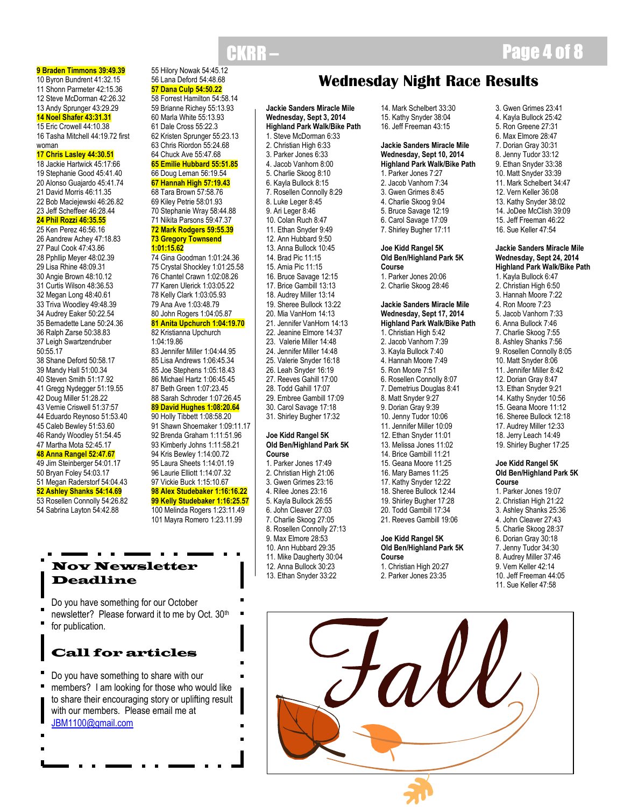**9 Braden Timmons 39:49.39**

10 Byron Bundrent 41:32.15 11 Shonn Parmeter 42:15.36 12 Steve McDorman 42:26.32 13 Andy Sprunger 43:29.29 **14 Noel Shafer 43:31.31**

#### 15 Eric Crowell 44:10.38 16 Tasha Mitchell 44:19.72 first woman

#### **17 Chris Lasley 44:30.51**

- 18 Jackie Hartwick 45:17:66 19 Stephanie Good 45:41.40 20 Alonso Guajardo 45:41.74 21 David Morris 46:11.35 22 Bob Maciejewski 46:26.82 23 Jeff Scheffeer 46:28.44 **24 Phil Rozzi 46:35.55** 25 Ken Perez 46:56.16 26 Aandrew Achey 47:18.83 27 Paul Cook 47:43.86
- 28 Pphllip Meyer 48:02.39 29 Lisa Rhine 48:09.31 30 Angie Brown 48:10.12 31 Curtis Wilson 48:36.53 32 Megan Long 48:40.61 33 Triva Woodley 49:48.39 34 Audrey Eaker 50:22.54 35 Bernadette Lane 50:24.36 36 Ralph Zarse 50:38.83 37 Leigh Swartzendruber 50:55.17 38 Shane Deford 50:58.17 39 Mandy Hall 51:00.34 40 Steven Smith 51:17.92 41 Gregg Nydegger 51:19.55 42 Doug Miller 51:28.22 43 Vernie Criswell 51:37:57
- 44 Eduardo Reynoso 51:53.40 45 Caleb Bewley 51:53.60
- 46 Randy Woodley 51:54.45

#### 47 Martha Mota 52:45.17 **48 Anna Rangel 52:47.67**

#### 49 Jim Steinberger 54:01.17 50 Bryan Foley 54:03.17

51 Megan Raderstorf 54:04.43 **52 Ashley Shanks 54:14.69** 53 Rosellen Connolly 54:26.82

54 Sabrina Layton 54:42.88

#### 55 Hilory Nowak 54:45.12 56 Lana Deford 54:48.68 **57 Dana Culp 54:50.22**

58 Forrest Hamilton 54:58.14 59 Brianne Richey 55:13.93 60 Marla White 55:13.93 61 Dale Cross 55:22.3 62 Kristen Sprunger 55:23.13 63 Chris Riordon 55:24.68 64 Chuck Ave 55:47.68 **65 Emilie Hubbard 55:51.85** 66 Doug Leman 56:19.54 **67 Hannah High 57:19.43**

- 69 Kiley Petrie 58:01.93 70 Stephanie Wray 58:44.88 71 Nikita Parsons 59:47.37 **72 Mark Rodgers 59:55.39 73 Gregory Townsend 1:01:15.62**
- 74 Gina Goodman 1:01:24.36 75 Crystal Shockley 1:01:25.58 76 Chantel Crawn 1:02:08.26 77 Karen Ulerick 1:03:05.22 78 Kelly Clark 1:03:05.93 79 Ana Ave 1:03:48.79 80 John Rogers 1:04:05.87 **81 Anita Upchurch 1:04:19.70** 82 Kristianna Upchurch 1:04:19.86
- 83 Jennifer Miller 1:04:44.95 85 Lisa Andrews 1:06:45.34 85 Joe Stephens 1:05:18.43 86 Michael Hartz 1:06:45.45 87 Beth Green 1:07:23.45 88 Sarah Schroder 1:07:26.45

90 Holly Tibbett 1:08:58.20 91 Shawn Shoemaker 1:09:11.17 92 Brenda Graham 1:11:51.96 93 Kimberly Johns 1:11:58.21 94 Kris Bewley 1:14:00.72 95 Laura Sheets 1:14:01.19 96 Laurie Elliott 1:14:07.32 97 Vickie Buck 1:15:10.67 **98 Alex Studebaker 1:16:16.22 99 Kelly Studebaker 1:16:25.57** 100 Melinda Rogers 1:23:11.49 101 Mayra Romero 1:23.11.99

## Nov Newsletter Deadline

Do you have something for our October newsletter? Please forward it to me by Oct. 30<sup>th</sup> for publication.

- Call for articles
- Do you have something to share with our members? I am looking for those who would like to share their encouraging story or uplifting result with our members. Please email me at [JBM1100@gmail.com](mailto:JBM1100@gmail.com)

# 68 Tara Brown 57:58.76

## **89 David Hughes 1:08:20.64**

# **Wednesday Night Race Results**

**Jackie Sanders Miracle Mile Wednesday, Sept 3, 2014 Highland Park Walk/Bike Path** 1. Steve McDorman 6:33 2. Christian High 6:33 3. Parker Jones 6:33 4. Jacob Vanhorn 8:00 5. Charlie Skoog 8:10 6. Kayla Bullock 8:15 7. Rosellen Connolly 8:29 8. Luke Leger 8:45 9. Ari Leger 8:46 10. Colan Ruch 8:47 11. Ethan Snyder 9:49 12. Ann Hubbard 9:50 13. Anna Bullock 10:45 14. Brad Pic 11:15 15. Amia Pic 11:15 16. Bruce Savage 12:15 17. Brice Gambill 13:13 18. Audrey Miller 13:14 19. Sheree Bullock 13:22 20. Mia VanHorn 14:13 21. Jennifer VanHorn 14:13 22. Jeanine Elmore 14:37 23. Valerie Miller 14:48 24. Jennifer Miller 14:48 25. Valerie Snyder 16:18 26. Leah Snyder 16:19 27. Reeves Gahill 17:00 28. Todd Gahill 17:07 29. Embree Gambill 17:09 30. Carol Savage 17:18 31. Shirley Bugher 17:32

#### **Joe Kidd Rangel 5K Old Ben/Highland Park 5K Course**

1. Parker Jones 17:49 2. Christian High 21:06 3. Gwen Grimes 23:16 4. Rilee Jones 23:16 5. Kayla Bullock 26:55 6. John Cleaver 27:03 7. Charlie Skoog 27:05 8. Rosellen Connolly 27:13 9. Max Elmore 28:53 10. Ann Hubbard 29:35 11. Mike Daugherty 30:04 12. Anna Bullock 30:23 13. Ethan Snyder 33:22

14. Mark Schelbert 33:30 15. Kathy Snyder 38:04 16. Jeff Freeman 43:15

#### **Jackie Sanders Miracle Mile Wednesday, Sept 10, 2014 Highland Park Walk/Bike Path**

1. Parker Jones 7:27 2. Jacob Vanhorn 7:34 3. Gwen Grimes 8:45 4. Charlie Skoog 9:04 5. Bruce Savage 12:19 6. Carol Savage 17:09 7. Shirley Bugher 17:11

#### **Joe Kidd Rangel 5K Old Ben/Highland Park 5K Course**

1. Parker Jones 20:06 2. Charlie Skoog 28:46

#### **Jackie Sanders Miracle Mile Wednesday, Sept 17, 2014 Highland Park Walk/Bike Path**

1. Christian High 5:42 2. Jacob Vanhorn 7:39 3. Kayla Bullock 7:40 4. Hannah Moore 7:49 5. Ron Moore 7:51 6. Rosellen Connolly 8:07 7. Demetrius Douglas 8:41 8. Matt Snyder 9:27 9. Dorian Gray 9:39 10. Jenny Tudor 10:06 11. Jennifer Miller 10:09 12. Ethan Snyder 11:01 13. Melissa Jones 11:02 14. Brice Gambill 11:21 15. Geana Moore 11:25 16. Mary Barnes 11:25 17. Kathy Snyder 12:22 18. Sheree Bullock 12:44 19. Shirley Bugher 17:28 20. Todd Gambill 17:34 21. Reeves Gambill 19:06

#### **Joe Kidd Rangel 5K Old Ben/Highland Park 5K Course**

1. Christian High 20:27 2. Parker Jones 23:35

# **CKRR – Page 4 of 8**

- 3. Gwen Grimes 23:41
- 4. Kayla Bullock 25:42
- 5. Ron Greene 27:31
- 6. Max Elmore 28:47 7. Dorian Gray 30:31
- 8. Jenny Tudor 33:12
- 9. Ethan Snyder 33:38
- 10. Matt Snyder 33:39
- 11. Mark Schelbert 34:47 12. Vern Keller 36:08
- 13. Kathy Snyder 38:02
- 14. JoDee McClish 39:09
- 15. Jeff Freeman 46:22
- 16. Sue Keller 47:54

#### **Jackie Sanders Miracle Mile Wednesday, Sept 24, 2014 Highland Park Walk/Bike Path**

1. Kayla Bullock 6:47 2. Christian High 6:50 3. Hannah Moore 7:22 4. Ron Moore 7:23 5. Jacob Vanhorn 7:33 6. Anna Bullock 7:46 7. Charlie Skoog 7:55 8. Ashley Shanks 7:56 9. Rosellen Connolly 8:05 10. Matt Snyder 8:06 11. Jennifer Miller 8:42 12. Dorian Gray 8:47 13. Ethan Snyder 9:21 14. Kathy Snyder 10:56 15. Geana Moore 11:12 16. Sheree Bullock 12:18 17. Audrey Miller 12:33 18. Jerry Leach 14:49 19. Shirley Bugher 17:25

#### **Joe Kidd Rangel 5K Old Ben/Highland Park 5K Course**

- 1. Parker Jones 19:07
- 2. Christian High 21:22
- 3. Ashley Shanks 25:36
- 4. John Cleaver 27:43
- 5. Charlie Skoog 28:37
- 6. Dorian Gray 30:18
- 7. Jenny Tudor 34:30 8. Audrey Miller 37:46
- 9. Vern Keller 42:14
- 10. Jeff Freeman 44:05
- 11. Sue Keller 47:58

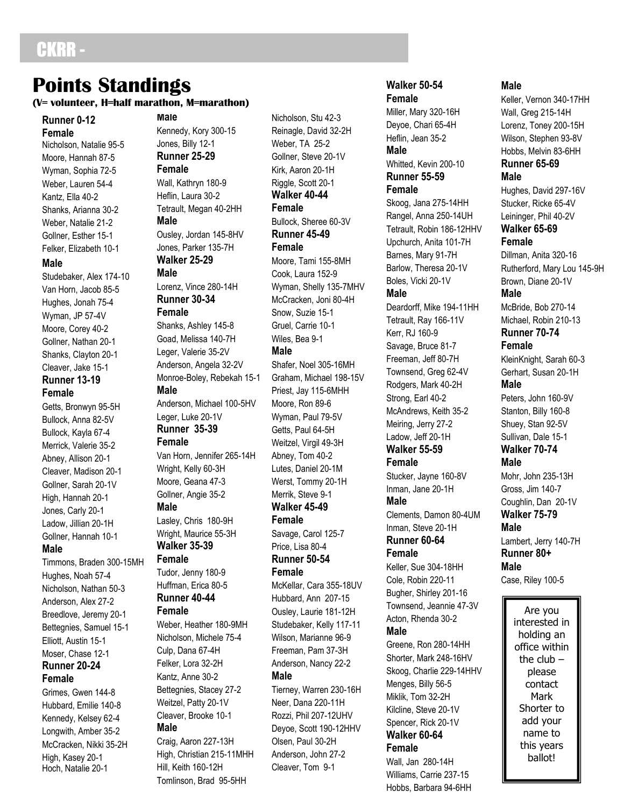## CKRR -

## **Points Standings (V= volunteer, H=half marathon, M=marathon)**

**Runner 0-12 Female** Nicholson, Natalie 95-5 Moore, Hannah 87-5 Wyman, Sophia 72-5 Weber, Lauren 54-4 Kantz, Ella 40-2 Shanks, Arianna 30-2 Weber, Natalie 21-2 Gollner, Esther 15-1 Felker, Elizabeth 10-1

#### **Male**

Studebaker, Alex 174-10 Van Horn, Jacob 85-5 Hughes, Jonah 75-4 Wyman, JP 57-4V Moore, Corey 40-2 Gollner, Nathan 20-1 Shanks, Clayton 20-1 Cleaver, Jake 15-1 **Runner 13-19 Female**

Getts, Bronwyn 95-5H Bullock, Anna 82-5V Bullock, Kayla 67-4 Merrick, Valerie 35-2 Abney, Allison 20-1 Cleaver, Madison 20-1 Gollner, Sarah 20-1V High, Hannah 20-1 Jones, Carly 20-1 Ladow, Jillian 20-1H Gollner, Hannah 10-1 **Male**

Timmons, Braden 300-15MH Hughes, Noah 57-4 Nicholson, Nathan 50-3 Anderson, Alex 27-2 Breedlove, Jeremy 20-1 Bettegnies, Samuel 15-1 Elliott, Austin 15-1 Moser, Chase 12-1 **Runner 20-24 Female**

Grimes, Gwen 144-8 Hubbard, Emilie 140-8 Kennedy, Kelsey 62-4 Longwith, Amber 35-2 McCracken, Nikki 35-2H High, Kasey 20-1 Hoch, Natalie 20-1

#### **Male** Kennedy, Kory 300-15 Jones, Billy 12-1 **Runner 25-29 Female**

Wall, Kathryn 180-9 Heflin, Laura 30-2 Tetrault, Megan 40-2HH **Male** Ousley, Jordan 145-8HV Jones, Parker 135-7H **Walker 25-29**

#### **Male**

Lorenz, Vince 280-14H **Runner 30-34 Female**

Shanks, Ashley 145-8 Goad, Melissa 140-7H Leger, Valerie 35-2V Anderson, Angela 32-2V Monroe-Boley, Rebekah 15-1 **Male** Anderson, Michael 100-5HV

Leger, Luke 20-1V **Runner 35-39 Female**

Van Horn, Jennifer 265-14H Wright, Kelly 60-3H Moore, Geana 47-3 Gollner, Angie 35-2 **Male**

Lasley, Chris 180-9H Wright, Maurice 55-3H **Walker 35-39 Female**

Tudor, Jenny 180-9 Huffman, Erica 80-5 **Runner 40-44**

## **Female**

Weber, Heather 180-9MH Nicholson, Michele 75-4 Culp, Dana 67-4H Felker, Lora 32-2H Kantz, Anne 30-2 Bettegnies, Stacey 27-2 Weitzel, Patty 20-1V Cleaver, Brooke 10-1 **Male**

Craig, Aaron 227-13H High, Christian 215-11MHH Hill, Keith 160-12H Tomlinson, Brad 95-5HH

Nicholson, Stu 42-3 Reinagle, David 32-2H Weber, TA 25-2 Gollner, Steve 20-1V Kirk, Aaron 20-1H Riggle, Scott 20-1 **Walker 40-44 Female** Bullock, Sheree 60-3V **Runner 45-49 Female** Moore, Tami 155-8MH Cook, Laura 152-9 Wyman, Shelly 135-7MHV McCracken, Joni 80-4H Snow, Suzie 15-1 Gruel, Carrie 10-1 Wiles, Bea 9-1 **Male** Shafer, Noel 305-16MH Graham, Michael 198-15V Priest, Jay 115-6MHH Moore, Ron 89-6 Wyman, Paul 79-5V Getts, Paul 64-5H Weitzel, Virgil 49-3H Abney, Tom 40-2 Lutes, Daniel 20-1M Werst, Tommy 20-1H Merrik, Steve 9-1 **Walker 45-49 Female** Savage, Carol 125-7 Price, Lisa 80-4 **Runner 50-54 Female** McKellar, Cara 355-18UV Hubbard, Ann 207-15 Ousley, Laurie 181-12H Studebaker, Kelly 117-11 Wilson, Marianne 96-9 Freeman, Pam 37-3H Anderson, Nancy 22-2 **Male** Tierney, Warren 230-16H Neer, Dana 220-11H Rozzi, Phil 207-12UHV Deyoe, Scott 190-12HHV Olsen, Paul 30-2H Anderson, John 27-2 Cleaver, Tom 9-1

## **Walker 50-54**

**Female** Miller, Mary 320-16H Deyoe, Chari 65-4H Heflin, Jean 35-2 **Male** Whitted, Kevin 200-10 **Runner 55-59 Female** Skoog, Jana 275-14HH Rangel, Anna 250-14UH Tetrault, Robin 186-12HHV Upchurch, Anita 101-7H Barnes, Mary 91-7H Barlow, Theresa 20-1V Boles, Vicki 20-1V **Male** Deardorff, Mike 194-11HH

Tetrault, Ray 166-11V Kerr, RJ 160-9 Savage, Bruce 81-7 Freeman, Jeff 80-7H Townsend, Greg 62-4V Rodgers, Mark 40-2H Strong, Earl 40-2 McAndrews, Keith 35-2 Meiring, Jerry 27-2 Ladow, Jeff 20-1H **Walker 55-59 Female**

Stucker, Jayne 160-8V Inman, Jane 20-1H

## **Male**

Clements, Damon 80-4UM Inman, Steve 20-1H **Runner 60-64 Female**

Keller, Sue 304-18HH Cole, Robin 220-11 Bugher, Shirley 201-16 Townsend, Jeannie 47-3V Acton, Rhenda 30-2 **Male**

Greene, Ron 280-14HH Shorter, Mark 248-16HV Skoog, Charlie 229-14HHV Menges, Billy 56-5 Miklik, Tom 32-2H Kilcline, Steve 20-1V Spencer, Rick 20-1V **Walker 60-64**

### **Female**

Wall, Jan 280-14H Williams, Carrie 237-15 Hobbs, Barbara 94-6HH

#### **Male**

Keller, Vernon 340-17HH Wall, Greg 215-14H Lorenz, Toney 200-15H Wilson, Stephen 93-8V Hobbs, Melvin 83-6HH **Runner 65-69 Male** Hughes, David 297-16V

Stucker, Ricke 65-4V Leininger, Phil 40-2V **Walker 65-69 Female**

Dillman, Anita 320-16 Rutherford, Mary Lou 145-9H Brown, Diane 20-1V **Male** McBride, Bob 270-14 Michael, Robin 210-13 **Runner 70-74 Female** KleinKnight, Sarah 60-3

Gerhart, Susan 20-1H **Male**

Peters, John 160-9V Stanton, Billy 160-8 Shuey, Stan 92-5V Sullivan, Dale 15-1 **Walker 70-74**

**Male**

Mohr, John 235-13H Gross, Jim 140-7 Coughlin, Dan 20-1V **Walker 75-79 Male** Lambert, Jerry 140-7H **Runner 80+**

**Male**

Case, Riley 100-5

Are you interested in holding an office within the club  $$ please contact Mark Shorter to add your name to this years ballot!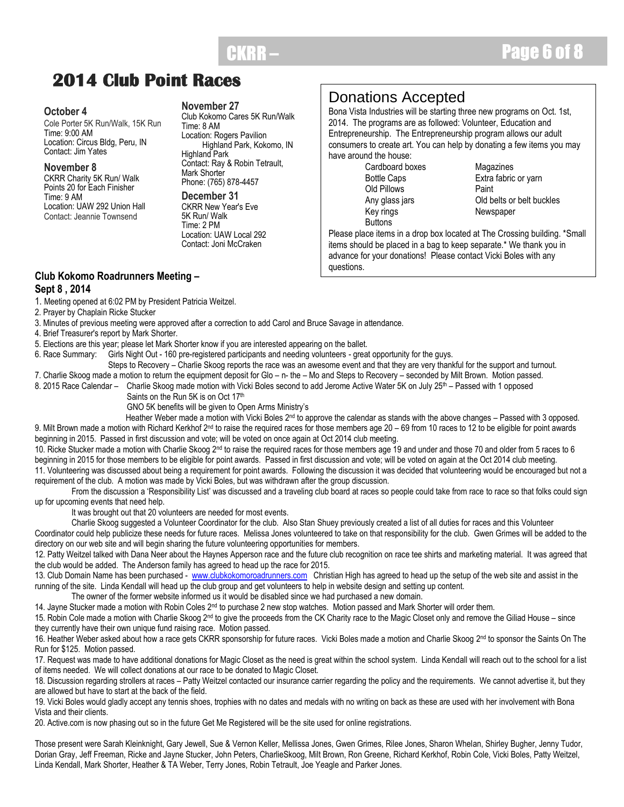## **2014 Club Point Races**

#### **October 4**

Cole Porter 5K Run/Walk, 15K Run Time: 9:00 AM Location: Circus Bldg, Peru, IN Contact: Jim Yates

#### **November 8**

CKRR Charity 5K Run/ Walk Points 20 for Each Finisher Time: 9 AM Location: UAW 292 Union Hall Contact: Jeannie Townsend

#### **November 27**

Club Kokomo Cares 5K Run/Walk Time: 8 AM Location: Rogers Pavilion Highland Park, Kokomo, IN Highland Park Contact: Ray & Robin Tetrault, Mark Shorter Phone: (765) 878-4457

**December 31** CKRR New Year's Eve 5K Run/ Walk Time: 2 PM Location: UAW Local 292 Contact: Joni McCraken

## Donations Accepted

Bona Vista Industries will be starting three new programs on Oct. 1st, 2014. The programs are as followed: Volunteer, Education and Entrepreneurship. The Entrepreneurship program allows our adult consumers to create art. You can help by donating a few items you may have around the house:

Cardboard boxes Magazines Old Pillows **Paint** Key rings Newspaper **Buttons** 

Bottle Caps Extra fabric or yarn Any glass jars Old belts or belt buckles

Please place items in a drop box located at The Crossing building. \*Small items should be placed in a bag to keep separate.\* We thank you in advance for your donations! Please contact Vicki Boles with any questions.

#### **Club Kokomo Roadrunners Meeting – Sept 8 , 2014**

- 1. Meeting opened at 6:02 PM by President Patricia Weitzel.
- 2. Prayer by Chaplain Ricke Stucker
- 3. Minutes of previous meeting were approved after a correction to add Carol and Bruce Savage in attendance.
- 4. Brief Treasurer's report by Mark Shorter.
- 5. Elections are this year; please let Mark Shorter know if you are interested appearing on the ballet.
- 6. Race Summary: Girls Night Out 160 pre-registered participants and needing volunteers great opportunity for the guys.
	- Steps to Recovery Charlie Skoog reports the race was an awesome event and that they are very thankful for the support and turnout.
- 7. Charlie Skoog made a motion to return the equipment deposit for Glo n- the Mo and Steps to Recovery seconded by Milt Brown. Motion passed.
- 8. 2015 Race Calendar Charlie Skoog made motion with Vicki Boles second to add Jerome Active Water 5K on July 25<sup>th</sup> Passed with 1 opposed Saints on the Run 5K is on Oct 17th
	- GNO 5K benefits will be given to Open Arms Ministry"s

Heather Weber made a motion with Vicki Boles 2<sup>nd</sup> to approve the calendar as stands with the above changes – Passed with 3 opposed. 9. Milt Brown made a motion with Richard Kerkhof 2<sup>nd</sup> to raise the required races for those members age 20 - 69 from 10 races to 12 to be eligible for point awards beginning in 2015. Passed in first discussion and vote; will be voted on once again at Oct 2014 club meeting.

10. Ricke Stucker made a motion with Charlie Skoog 2<sup>nd</sup> to raise the required races for those members age 19 and under and those 70 and older from 5 races to 6 beginning in 2015 for those members to be eligible for point awards. Passed in first discussion and vote; will be voted on again at the Oct 2014 club meeting. 11. Volunteering was discussed about being a requirement for point awards. Following the discussion it was decided that volunteering would be encouraged but not a requirement of the club. A motion was made by Vicki Boles, but was withdrawn after the group discussion.

From the discussion a 'Responsibility List' was discussed and a traveling club board at races so people could take from race to race so that folks could sign up for upcoming events that need help.

It was brought out that 20 volunteers are needed for most events.

Charlie Skoog suggested a Volunteer Coordinator for the club. Also Stan Shuey previously created a list of all duties for races and this Volunteer Coordinator could help publicize these needs for future races. Melissa Jones volunteered to take on that responsibility for the club. Gwen Grimes will be added to the directory on our web site and will begin sharing the future volunteering opportunities for members.

12. Patty Weitzel talked with Dana Neer about the Haynes Apperson race and the future club recognition on race tee shirts and marketing material. It was agreed that the club would be added. The Anderson family has agreed to head up the race for 2015.

13. Club Domain Name has been purchased - [www.clubkokomoroadrunners.com](http://www.clubkokomoroadrunners.com/) Christian High has agreed to head up the setup of the web site and assist in the running of the site. Linda Kendall will head up the club group and get volunteers to help in website design and setting up content.

The owner of the former website informed us it would be disabled since we had purchased a new domain.

14. Jayne Stucker made a motion with Robin Coles 2<sup>nd</sup> to purchase 2 new stop watches. Motion passed and Mark Shorter will order them.

15. Robin Cole made a motion with Charlie Skoog 2<sup>nd</sup> to give the proceeds from the CK Charity race to the Magic Closet only and remove the Giliad House – since they currently have their own unique fund raising race. Motion passed.

16. Heather Weber asked about how a race gets CKRR sponsorship for future races. Vicki Boles made a motion and Charlie Skoog 2<sup>nd</sup> to sponsor the Saints On The Run for \$125. Motion passed.

17. Request was made to have additional donations for Magic Closet as the need is great within the school system. Linda Kendall will reach out to the school for a list of items needed. We will collect donations at our race to be donated to Magic Closet.

18. Discussion regarding strollers at races – Patty Weitzel contacted our insurance carrier regarding the policy and the requirements. We cannot advertise it, but they are allowed but have to start at the back of the field.

19. Vicki Boles would gladly accept any tennis shoes, trophies with no dates and medals with no writing on back as these are used with her involvement with Bona Vista and their clients.

20. Active.com is now phasing out so in the future Get Me Registered will be the site used for online registrations.

Those present were Sarah Kleinknight, Gary Jewell, Sue & Vernon Keller, Mellissa Jones, Gwen Grimes, Rilee Jones, Sharon Whelan, Shirley Bugher, Jenny Tudor, Dorian Gray, Jeff Freeman, Ricke and Jayne Stucker, John Peters, CharlieSkoog, Milt Brown, Ron Greene, Richard Kerkhof, Robin Cole, Vicki Boles, Patty Weitzel, Linda Kendall, Mark Shorter, Heather & TA Weber, Terry Jones, Robin Tetrault, Joe Yeagle and Parker Jones.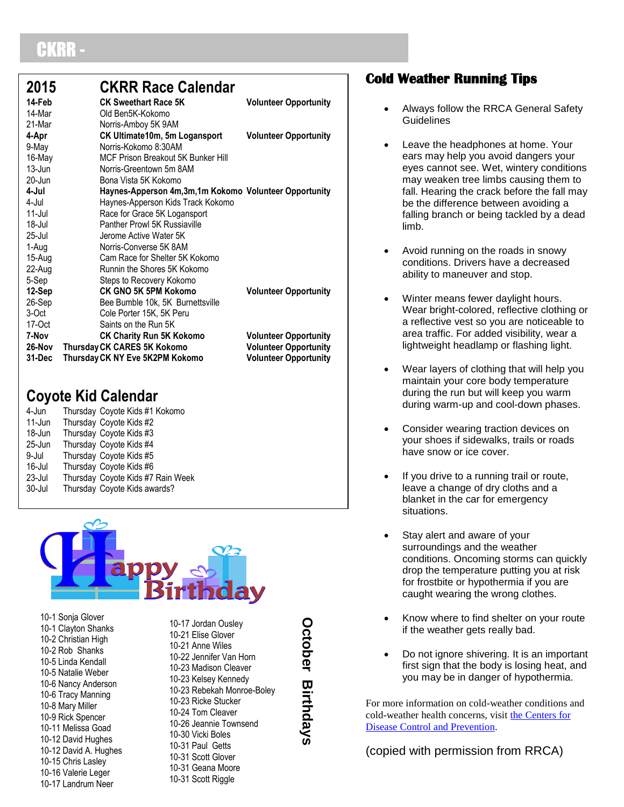# BKRR

| 2015<br>14-Feb<br>14-Mar<br>21-Mar | <b>CKRR Race Calendar</b><br><b>CK Sweethart Race 5K</b><br>Old Ben5K-Kokomo<br>Norris-Amboy 5K 9AM | <b>Volunteer Opportunity</b>                                                                 |
|------------------------------------|-----------------------------------------------------------------------------------------------------|----------------------------------------------------------------------------------------------|
| 4-Apr                              | CK Ultimate10m, 5m Logansport                                                                       | <b>Volunteer Opportunity</b>                                                                 |
| 9-May                              | Norris-Kokomo 8:30AM                                                                                |                                                                                              |
| 16-May                             | MCF Prison Breakout 5K Bunker Hill                                                                  |                                                                                              |
| $13 -$ Jun                         | Norris-Greentown 5m 8AM                                                                             |                                                                                              |
| $20 - Jun$                         | Bona Vista 5K Kokomo                                                                                |                                                                                              |
| 4-Jul                              | Haynes-Apperson 4m, 3m, 1m Kokomo Volunteer Opportunity                                             |                                                                                              |
| 4-Jul                              | Haynes-Apperson Kids Track Kokomo                                                                   |                                                                                              |
| $11$ -Jul                          | Race for Grace 5K Logansport                                                                        |                                                                                              |
| 18-Jul                             | Panther Prowl 5K Russiaville                                                                        |                                                                                              |
| 25-Jul                             | Jerome Active Water 5K                                                                              |                                                                                              |
| 1-Aug                              | Norris-Converse 5K 8AM                                                                              |                                                                                              |
| 15-Aug                             | Cam Race for Shelter 5K Kokomo                                                                      |                                                                                              |
| 22-Aug                             | Runnin the Shores 5K Kokomo                                                                         |                                                                                              |
| 5-Sep                              | Steps to Recovery Kokomo                                                                            |                                                                                              |
| 12-Sep                             | CK GNO 5K 5PM Kokomo                                                                                | <b>Volunteer Opportunity</b>                                                                 |
| 26-Sep                             | Bee Bumble 10k, 5K Burnettsville                                                                    |                                                                                              |
| 3-Oct                              | Cole Porter 15K, 5K Peru                                                                            |                                                                                              |
| 17-Oct                             | Saints on the Run 5K                                                                                |                                                                                              |
| 7-Nov<br>26-Nov<br>31-Dec          | <b>CK Charity Run 5K Kokomo</b><br>Thursday CK CARES 5K Kokomo<br>Thursday CK NY Eve 5K2PM Kokomo   | <b>Volunteer Opportunity</b><br><b>Volunteer Opportunity</b><br><b>Volunteer Opportunity</b> |

## **Coyote Kid Calendar**

| 4-Jun  |                              |  | Thursday Coyote Kids #1 Kokomo    |
|--------|------------------------------|--|-----------------------------------|
| 11-Jun | Thursday Coyote Kids #2      |  |                                   |
| 18-Jun | Thursday Coyote Kids #3      |  |                                   |
| 25-Jun | Thursday Coyote Kids #4      |  |                                   |
| 9-Jul  | Thursday Coyote Kids #5      |  |                                   |
| 16-Jul | Thursday Coyote Kids #6      |  |                                   |
| 23-Jul |                              |  | Thursday Coyote Kids #7 Rain Week |
| 30-Jul | Thursday Coyote Kids awards? |  |                                   |
|        |                              |  |                                   |



10-1 Sonja Glover 10-1 Clayton Shanks 10-2 Christian High 10-2 Rob Shanks 10-5 Linda Kendall 10-5 Natalie Weber 10-6 Nancy Anderson 10-6 Tracy Manning 10-8 Mary Miller 10-9 Rick Spencer 10-11 Melissa Goad 10-12 David Hughes 10-12 David A. Hughes 10-15 Chris Lasley 10-16 Valerie Leger 10-17 Landrum Neer

10-17 Jordan Ousley 10-21 Elise Glover 10-21 Anne Wiles 10-22 Jennifer Van Horn 10-23 Madison Cleaver 10-23 Kelsey Kennedy 10-23 Rebekah Monroe-Boley 10-23 Ricke Stucker 10-24 Tom Cleaver 10-26 Jeannie Townsend 10-30 Vicki Boles 10-31 Paul Getts 10-31 Scott Glover 10-31 Geana Moore

#### 10-31 Scott Riggle

**October Birthdays**

## **Cold Weather Running Tips**

- Always follow the RRCA General Safety **Guidelines**
- Leave the headphones at home. Your ears may help you avoid dangers your eyes cannot see. Wet, wintery conditions may weaken tree limbs causing them to fall. Hearing the crack before the fall may be the difference between avoiding a falling branch or being tackled by a dead limb.
- Avoid running on the roads in snowy conditions. Drivers have a decreased ability to maneuver and stop.
- Winter means fewer daylight hours. Wear bright-colored, reflective clothing or a reflective vest so you are noticeable to area traffic. For added visibility, wear a lightweight headlamp or flashing light.
- Wear layers of clothing that will help you maintain your core body temperature during the run but will keep you warm during warm-up and cool-down phases.
- Consider wearing traction devices on your shoes if sidewalks, trails or roads have snow or ice cover.
- If you drive to a running trail or route, leave a change of dry cloths and a blanket in the car for emergency situations.
- Stay alert and aware of your surroundings and the weather conditions. Oncoming storms can quickly drop the temperature putting you at risk for frostbite or hypothermia if you are caught wearing the wrong clothes.
- Know where to find shelter on your route if the weather gets really bad.
- Do not ignore shivering. It is an important first sign that the body is losing heat, and you may be in danger of hypothermia.

For more information on cold-weather conditions and cold-weather health concerns, visit [the Centers for](http://www.bt.cdc.gov/disasters/winter/)  [Disease Control and Prevention.](http://www.bt.cdc.gov/disasters/winter/)

(copied with permission from RRCA)